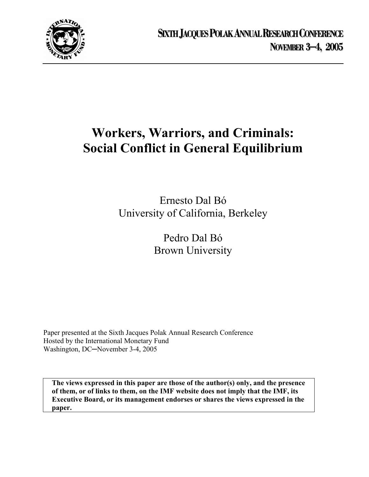

# **Workers, Warriors, and Criminals: Social Conflict in General Equilibrium**

Ernesto Dal Bó University of California, Berkeley

> Pedro Dal Bó Brown University

Paper presented at the Sixth Jacques Polak Annual Research Conference Hosted by the International Monetary Fund Washington, DC─November 3-4, 2005

**The views expressed in this paper are those of the author(s) only, and the presence of them, or of links to them, on the IMF website does not imply that the IMF, its Executive Board, or its management endorses or shares the views expressed in the paper.**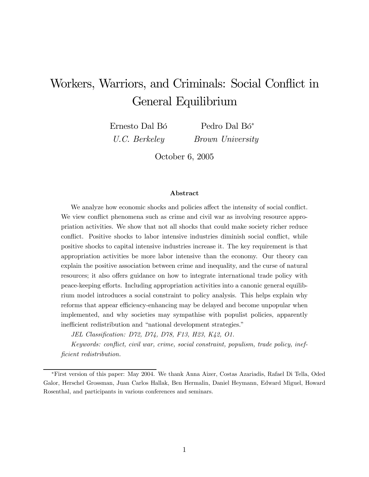# Workers, Warriors, and Criminals: Social Conflict in General Equilibrium

Ernesto Dal Bó U.C. Berkeley

Pedro Dal Bó<sup>∗</sup> Brown University

October 6, 2005

### Abstract

We analyze how economic shocks and policies affect the intensity of social conflict. We view conflict phenomena such as crime and civil war as involving resource appropriation activities. We show that not all shocks that could make society richer reduce conflict. Positive shocks to labor intensive industries diminish social conflict, while positive shocks to capital intensive industries increase it. The key requirement is that appropriation activities be more labor intensive than the economy. Our theory can explain the positive association between crime and inequality, and the curse of natural resources; it also offers guidance on how to integrate international trade policy with peace-keeping efforts. Including appropriation activities into a canonic general equilibrium model introduces a social constraint to policy analysis. This helps explain why reforms that appear efficiency-enhancing may be delayed and become unpopular when implemented, and why societies may sympathise with populist policies, apparently inefficient redistribution and "national development strategies."

JEL Classification: D72, D74, D78, F13, H23, K42, O1.

Keywords: conflict, civil war, crime, social constraint, populism, trade policy, inefficient redistribution.

<sup>∗</sup>First version of this paper: May 2004. We thank Anna Aizer, Costas Azariadis, Rafael Di Tella, Oded Galor, Herschel Grossman, Juan Carlos Hallak, Ben Hermalin, Daniel Heymann, Edward Miguel, Howard Rosenthal, and participants in various conferences and seminars.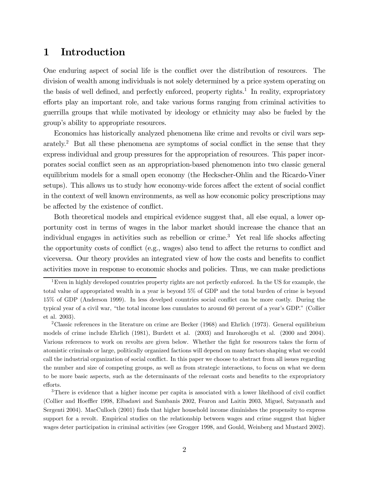# 1 Introduction

One enduring aspect of social life is the conflict over the distribution of resources. The division of wealth among individuals is not solely determined by a price system operating on the basis of well defined, and perfectly enforced, property rights.<sup>1</sup> In reality, expropriatory efforts play an important role, and take various forms ranging from criminal activities to guerrilla groups that while motivated by ideology or ethnicity may also be fueled by the group's ability to appropriate resources.

Economics has historically analyzed phenomena like crime and revolts or civil wars separately.2 But all these phenomena are symptoms of social conflict in the sense that they express individual and group pressures for the appropriation of resources. This paper incorporates social conflict seen as an appropriation-based phenomenon into two classic general equilibrium models for a small open economy (the Heckscher-Ohlin and the Ricardo-Viner setups). This allows us to study how economy-wide forces affect the extent of social conflict in the context of well known environments, as well as how economic policy prescriptions may be affected by the existence of conflict.

Both theoretical models and empirical evidence suggest that, all else equal, a lower opportunity cost in terms of wages in the labor market should increase the chance that an individual engages in activities such as rebellion or crime.3 Yet real life shocks affecting the opportunity costs of conflict (e.g., wages) also tend to affect the returns to conflict and viceversa. Our theory provides an integrated view of how the costs and benefits to conflict activities move in response to economic shocks and policies. Thus, we can make predictions

<sup>&</sup>lt;sup>1</sup>Even in highly developed countries property rights are not perfectly enforced. In the US for example, the total value of appropriated wealth in a year is beyond 5% of GDP and the total burden of crime is beyond 15% of GDP (Anderson 1999). In less develped countries social conflict can be more costly. During the typical year of a civil war, "the total income loss cumulates to around 60 percent of a year's GDP." (Collier et al. 2003).

<sup>&</sup>lt;sup>2</sup>Classic references in the literature on crime are Becker  $(1968)$  and Ehrlich  $(1973)$ . General equilibrium models of crime include Ehrlich (1981), Burdett et al. (2003) and Imrohoroglu et al. (2000 and 2004). Various references to work on revolts are given below. Whether the fight for resources takes the form of atomistic criminals or large, politically organized factions will depend on many factors shaping what we could call the industrial organization of social conflict. In this paper we choose to abstract from all issues regarding the number and size of competing groups, as well as from strategic interactions, to focus on what we deem to be more basic aspects, such as the determinants of the relevant costs and benefits to the expropriatory efforts.

<sup>3</sup>There is evidence that a higher income per capita is associated with a lower likelihood of civil conflict (Collier and Hoeffler 1998, Elbadawi and Sambanis 2002, Fearon and Laitin 2003, Miguel, Satyanath and Sergenti 2004). MacCulloch (2001) finds that higher household income diminishes the propensity to express support for a revolt. Empirical studies on the relationship between wages and crime suggest that higher wages deter participation in criminal activities (see Grogger 1998, and Gould, Weinberg and Mustard 2002).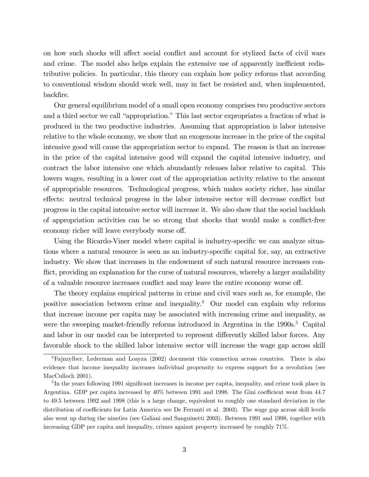on how such shocks will affect social conflict and account for stylized facts of civil wars and crime. The model also helps explain the extensive use of apparently inefficient redistributive policies. In particular, this theory can explain how policy reforms that according to conventional wisdom should work well, may in fact be resisted and, when implemented, backfire.

Our general equilibrium model of a small open economy comprises two productive sectors and a third sector we call "appropriation." This last sector expropriates a fraction of what is produced in the two productive industries. Assuming that appropriation is labor intensive relative to the whole economy, we show that an exogenous increase in the price of the capital intensive good will cause the appropriation sector to expand. The reason is that an increase in the price of the capital intensive good will expand the capital intensive industry, and contract the labor intensive one which abundantly releases labor relative to capital. This lowers wages, resulting in a lower cost of the appropriation activity relative to the amount of appropriable resources. Technological progress, which makes society richer, has similar effects: neutral technical progress in the labor intensive sector will decrease conflict but progress in the capital intensive sector will increase it. We also show that the social backlash of appropriation activities can be so strong that shocks that would make a conflict-free economy richer will leave everybody worse off.

Using the Ricardo-Viner model where capital is industry-specific we can analyze situations where a natural resource is seen as an industry-specific capital for, say, an extractive industry. We show that increases in the endowment of such natural resource increases conflict, providing an explanation for the curse of natural resources, whereby a larger availability of a valuable resource increases conflict and may leave the entire economy worse off.

The theory explains empirical patterns in crime and civil wars such as, for example, the positive association between crime and inequality.4 Our model can explain why reforms that increase income per capita may be associated with increasing crime and inequality, as were the sweeping market-friendly reforms introduced in Argentina in the  $1990s<sup>5</sup>$  Capital and labor in our model can be interpreted to represent differently skilled labor forces. Any favorable shock to the skilled labor intensive sector will increase the wage gap across skill

<sup>4</sup>Fajnzylber, Lederman and Loayza (2002) document this connection across countries. There is also evidence that income inequality increases individual propensity to express support for a revolution (see MacCulloch 2001).

<sup>&</sup>lt;sup>5</sup>In the years following 1991 significant increases in income per capita, inequality, and crime took place in Argentina. GDP per capita increased by 40% between 1991 and 1998. The Gini coefficient went from 44.7 to 49.5 between 1992 and 1998 (this is a large change, equivalent to roughly one standard deviation in the distribution of coefficients for Latin America—see De Ferranti et al. 2003). The wage gap across skill levels also went up during the nineties (see Galiani and Sanguinetti 2003). Between 1991 and 1998, together with increasing GDP per capita and inequality, crimes against property increased by roughly 71%.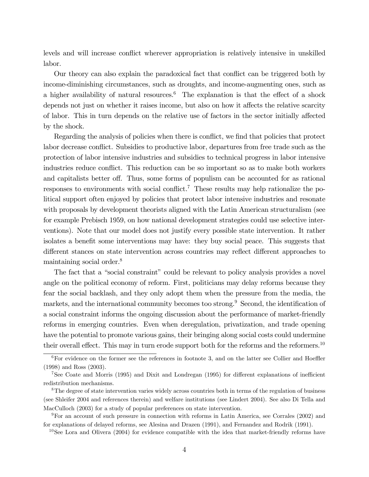levels and will increase conflict wherever appropriation is relatively intensive in unskilled labor.

Our theory can also explain the paradoxical fact that conflict can be triggered both by income-diminishing circumstances, such as droughts, and income-augmenting ones, such as a higher availability of natural resources.<sup>6</sup> The explanation is that the effect of a shock depends not just on whether it raises income, but also on how it affects the relative scarcity of labor. This in turn depends on the relative use of factors in the sector initially affected by the shock.

Regarding the analysis of policies when there is conflict, we find that policies that protect labor decrease conflict. Subsidies to productive labor, departures from free trade such as the protection of labor intensive industries and subsidies to technical progress in labor intensive industries reduce conflict. This reduction can be so important so as to make both workers and capitalists better off. Thus, some forms of populism can be accounted for as rational responses to environments with social conflict.<sup>7</sup> These results may help rationalize the political support often enjoyed by policies that protect labor intensive industries and resonate with proposals by development theorists aligned with the Latin American structuralism (see for example Prebisch 1959, on how national development strategies could use selective interventions). Note that our model does not justify every possible state intervention. It rather isolates a benefit some interventions may have: they buy social peace. This suggests that different stances on state intervention across countries may reflect different approaches to maintaining social order.8

The fact that a "social constraint" could be relevant to policy analysis provides a novel angle on the political economy of reform. First, politicians may delay reforms because they fear the social backlash, and they only adopt them when the pressure from the media, the markets, and the international community becomes too strong.<sup>9</sup> Second, the identification of a social constraint informs the ongoing discussion about the performance of market-friendly reforms in emerging countries. Even when deregulation, privatization, and trade opening have the potential to promote various gains, their bringing along social costs could undermine their overall effect. This may in turn erode support both for the reforms and the reformers.<sup>10</sup>

 $6$ For evidence on the former see the references in footnote 3, and on the latter see Collier and Hoeffler (1998) and Ross (2003).

<sup>7</sup>See Coate and Morris (1995) and Dixit and Londregan (1995) for different explanations of inefficient redistribution mechanisms.

<sup>&</sup>lt;sup>8</sup>The degree of state intervention varies widely across countries both in terms of the regulation of business (see Shleifer 2004 and references therein) and welfare institutions (see Lindert 2004). See also Di Tella and MacCulloch (2003) for a study of popular preferences on state intervention.

<sup>9</sup>For an account of such pressure in connection with reforms in Latin America, see Corrales (2002) and for explanations of delayed reforms, see Alesina and Drazen (1991), and Fernandez and Rodrik (1991).

<sup>&</sup>lt;sup>10</sup>See Lora and Olivera (2004) for evidence compatible with the idea that market-friendly reforms have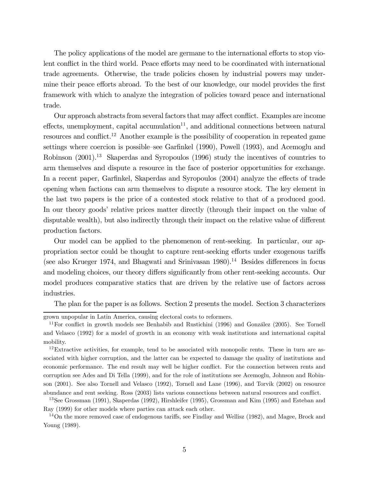The policy applications of the model are germane to the international efforts to stop violent conflict in the third world. Peace efforts may need to be coordinated with international trade agreements. Otherwise, the trade policies chosen by industrial powers may undermine their peace efforts abroad. To the best of our knowledge, our model provides the first framework with which to analyze the integration of policies toward peace and international trade.

Our approach abstracts from several factors that may affect conflict. Examples are income effects, unemployment, capital accumulation<sup>11</sup>, and additional connections between natural resources and conflict.12 Another example is the possibility of cooperation in repeated game settings where coercion is possible—see Garfinkel (1990), Powell (1993), and Acemoglu and Robinson (2001).<sup>13</sup> Skaperdas and Syropoulos (1996) study the incentives of countries to arm themselves and dispute a resource in the face of posterior opportunities for exchange. In a recent paper, Garfinkel, Skaperdas and Syropoulos (2004) analyze the effects of trade opening when factions can arm themselves to dispute a resource stock. The key element in the last two papers is the price of a contested stock relative to that of a produced good. In our theory goods' relative prices matter directly (through their impact on the value of disputable wealth), but also indirectly through their impact on the relative value of different production factors.

Our model can be applied to the phenomenon of rent-seeking. In particular, our appropriation sector could be thought to capture rent-seeking efforts under exogenous tariffs (see also Krueger 1974, and Bhagwati and Srinivasan  $1980$ ).<sup>14</sup> Besides differences in focus and modeling choices, our theory differs significantly from other rent-seeking accounts. Our model produces comparative statics that are driven by the relative use of factors across industries.

The plan for the paper is as follows. Section 2 presents the model. Section 3 characterizes

grown unpopular in Latin America, causing electoral costs to reformers.

 $11$ For conflict in growth models see Benhabib and Rustichini (1996) and González (2005). See Tornell and Velasco (1992) for a model of growth in an economy with weak institutions and international capital mobility.

<sup>12</sup>Extractive activities, for example, tend to be associated with monopolic rents. These in turn are associated with higher corruption, and the latter can be expected to damage the quality of institutions and economic performance. The end result may well be higher conflict. For the connection between rents and corruption see Ades and Di Tella (1999), and for the role of institutions see Acemoglu, Johnson and Robinson (2001). See also Tornell and Velasco (1992), Tornell and Lane (1996), and Torvik (2002) on resource abundance and rent seeking. Ross (2003) lists various connections between natural resources and conflict.

<sup>13</sup>See Grossman (1991), Skaperdas (1992), Hirshleifer (1995), Grossman and Kim (1995) and Esteban and Ray (1999) for other models where parties can attack each other.

<sup>&</sup>lt;sup>14</sup>On the more removed case of endogenous tariffs, see Findlay and Wellisz (1982), and Magee, Brock and Young (1989).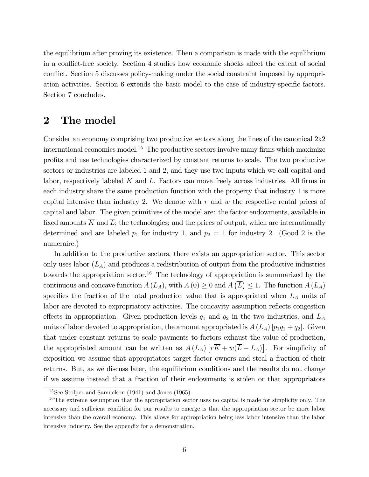the equilibrium after proving its existence. Then a comparison is made with the equilibrium in a conflict-free society. Section 4 studies how economic shocks affect the extent of social conflict. Section 5 discusses policy-making under the social constraint imposed by appropriation activities. Section 6 extends the basic model to the case of industry-specific factors. Section 7 concludes.

### 2 The model

Consider an economy comprising two productive sectors along the lines of the canonical 2x2 international economics model.<sup>15</sup> The productive sectors involve many firms which maximize profits and use technologies characterized by constant returns to scale. The two productive sectors or industries are labeled 1 and 2, and they use two inputs which we call capital and labor, respectively labeled  $K$  and  $L$ . Factors can move freely across industries. All firms in each industry share the same production function with the property that industry 1 is more capital intensive than industry 2. We denote with  $r$  and  $w$  the respective rental prices of capital and labor. The given primitives of the model are: the factor endowments, available in fixed amounts  $\overline{K}$  and  $\overline{L}$ ; the technologies; and the prices of output, which are internationally determined and are labeled  $p_1$  for industry 1, and  $p_2 = 1$  for industry 2. (Good 2 is the numeraire.)

In addition to the productive sectors, there exists an appropriation sector. This sector only uses labor  $(L_A)$  and produces a redistribution of output from the productive industries towards the appropriation sector.<sup>16</sup> The technology of appropriation is summarized by the continuous and concave function  $A(L_A)$ , with  $A(0) \geq 0$  and  $A(\overline{L}) \leq 1$ . The function  $A(L_A)$ specifies the fraction of the total production value that is appropriated when  $L_A$  units of labor are devoted to expropriatory activities. The concavity assumption reflects congestion effects in appropriation. Given production levels  $q_1$  and  $q_2$  in the two industries, and  $L_A$ units of labor devoted to appropriation, the amount appropriated is  $A(L_A)$  [ $p_1q_1 + q_2$ ]. Given that under constant returns to scale payments to factors exhaust the value of production, the appropriated amount can be written as  $A(L_A) \left[ r \overline{K} + w(\overline{L} - L_A) \right]$ . For simplicity of exposition we assume that appropriators target factor owners and steal a fraction of their returns. But, as we discuss later, the equilibrium conditions and the results do not change if we assume instead that a fraction of their endowments is stolen or that appropriators

<sup>15</sup>See Stolper and Samuelson (1941) and Jones (1965).

<sup>&</sup>lt;sup>16</sup>The extreme assumption that the appropriation sector uses no capital is made for simplicity only. The necessary and sufficient condition for our results to emerge is that the appropriation sector be more labor intensive than the overall economy. This allows for appropriation being less labor intensive than the labor intensive industry. See the appendix for a demonstration.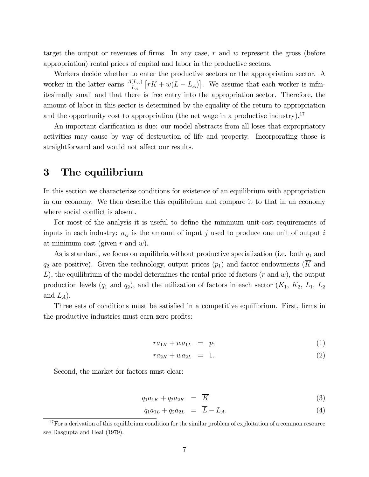target the output or revenues of firms. In any case,  $r$  and  $w$  represent the gross (before appropriation) rental prices of capital and labor in the productive sectors.

Workers decide whether to enter the productive sectors or the appropriation sector. A worker in the latter earns  $\frac{A(L_A)}{L_A} \left[ r \overline{K} + w(\overline{L} - L_A) \right]$ . We assume that each worker is infinitesimally small and that there is free entry into the appropriation sector. Therefore, the amount of labor in this sector is determined by the equality of the return to appropriation and the opportunity cost to appropriation (the net wage in a productive industry).<sup>17</sup>

An important clarification is due: our model abstracts from all loses that expropriatory activities may cause by way of destruction of life and property. Incorporating those is straightforward and would not affect our results.

# 3 The equilibrium

In this section we characterize conditions for existence of an equilibrium with appropriation in our economy. We then describe this equilibrium and compare it to that in an economy where social conflict is absent.

For most of the analysis it is useful to define the minimum unit-cost requirements of inputs in each industry:  $a_{ij}$  is the amount of input j used to produce one unit of output i at minimum cost (given  $r$  and  $w$ ).

As is standard, we focus on equilibria without productive specialization (i.e. both  $q_1$  and  $q_2$  are positive). Given the technology, output prices  $(p_1)$  and factor endowments ( $\overline{K}$  and  $\overline{L}$ ), the equilibrium of the model determines the rental price of factors (*r* and *w*), the output production levels  $(q_1 \text{ and } q_2)$ , and the utilization of factors in each sector  $(K_1, K_2, L_1, L_2)$ and  $L_A$ ).

Three sets of conditions must be satisfied in a competitive equilibrium. First, firms in the productive industries must earn zero profits:

$$
ra_{1K} + wa_{1L} = p_1 \tag{1}
$$

$$
ra_{2K} + wa_{2L} = 1.
$$
 (2)

Second, the market for factors must clear:

$$
q_1 a_{1K} + q_2 a_{2K} = \overline{K} \tag{3}
$$

$$
q_1 a_{1L} + q_2 a_{2L} = \overline{L} - L_A. \tag{4}
$$

 $17$  For a derivation of this equilibrium condition for the similar problem of exploitation of a common resource see Dasgupta and Heal (1979).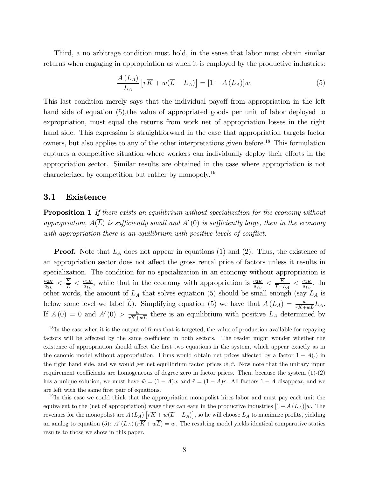Third, a no arbitrage condition must hold, in the sense that labor must obtain similar returns when engaging in appropriation as when it is employed by the productive industries:

$$
\frac{A(L_A)}{L_A} \left[ r\overline{K} + w(\overline{L} - L_A) \right] = [1 - A(L_A)]w.
$$
\n(5)

This last condition merely says that the individual payoff from appropriation in the left hand side of equation (5), the value of appropriated goods per unit of labor deployed to expropriation, must equal the returns from work net of appropriation losses in the right hand side. This expression is straightforward in the case that appropriation targets factor owners, but also applies to any of the other interpretations given before.18 This formulation captures a competitive situation where workers can individually deploy their efforts in the appropriation sector. Similar results are obtained in the case where appropriation is not characterized by competition but rather by monopoly.19

### 3.1 Existence

**Proposition 1** If there exists an equilibrium without specialization for the economy without appropriation,  $A(\overline{L})$  is sufficiently small and  $A'(0)$  is sufficiently large, then in the economy with appropriation there is an equilibrium with positive levels of conflict.

**Proof.** Note that  $L_A$  does not appear in equations (1) and (2). Thus, the existence of an appropriation sector does not affect the gross rental price of factors unless it results in specialization. The condition for no specialization in an economy without appropriation is  $\frac{a_{2K}}{a_{2L}} < \frac{\overline{K}}{\overline{L}} < \frac{a_{1K}}{a_{1L}}$ , while that in the economy with appropriation is  $\frac{a_{2K}}{a_{2L}} < \frac{\overline{K}}{\overline{L}-L_A} < \frac{a_{1K}}{a_{1L}}$ . In other words, the amount of  $L_A$  that solves equation (5) should be small enough (say  $L_A$  is below some level we label  $\hat{L}$ ). Simplifying equation (5) we have that  $A(L_A) = \frac{w}{r\overline{K}+w\overline{L}}L_A$ . If  $A(0) = 0$  and  $A'(0) > \frac{w}{r\overline{K}+w\overline{L}}$  there is an equilibrium with positive  $L_A$  determined by

 $\frac{18}{\text{In the case when it is the output of firms that is targeted, the value of production available for repaying}}$ factors will be affected by the same coefficient in both sectors. The reader might wonder whether the existence of appropriation should affect the first two equations in the system, which appear exactly as in the canonic model without appropriation. Firms would obtain net prices affected by a factor  $1 - A(.)$  in the right hand side, and we would get net equilibrium factor prices  $\hat{w}, \hat{r}$ . Now note that the unitary input requirement coefficients are homogeneous of degree zero in factor prices. Then, because the system (1)-(2) has a unique solution, we must have  $\hat{w} = (1 - A)w$  and  $\hat{r} = (1 - A)r$ . All factors  $1 - A$  disappear, and we are left with the same first pair of equations.

<sup>&</sup>lt;sup>19</sup>In this case we could think that the appropriation monopolist hires labor and must pay each unit the equivalent to the (net of appropriation) wage they can earn in the productive industries  $[1 - A(L_A)]w$ . The revenues for the monopolist are  $A(L_A)$   $[r\overline{K} + w(\overline{L} - L_A)],$  so he will choose  $L_A$  to maximize profits, yielding an analog to equation (5):  $A'(L_A) (r\overline{K} + w\overline{L}) = w$ . The resulting model yields identical comparative statics results to those we show in this paper.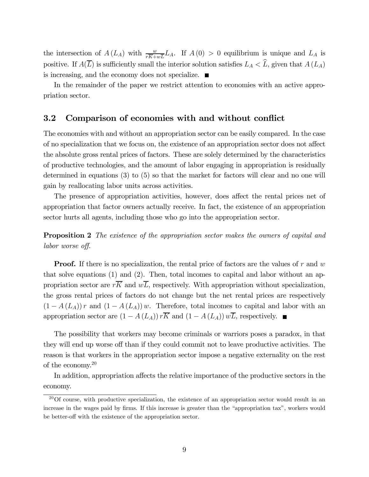the intersection of  $A(L_A)$  with  $\frac{w}{r\overline{K}+w\overline{L}}L_A$ . If  $A(0) > 0$  equilibrium is unique and  $L_A$  is positive. If  $A(\overline{L})$  is sufficiently small the interior solution satisfies  $L_A < \widehat{L}$ , given that  $A(L_A)$ is increasing, and the economy does not specialize.  $\blacksquare$ 

In the remainder of the paper we restrict attention to economies with an active appropriation sector.

### 3.2 Comparison of economies with and without conflict

The economies with and without an appropriation sector can be easily compared. In the case of no specialization that we focus on, the existence of an appropriation sector does not affect the absolute gross rental prices of factors. These are solely determined by the characteristics of productive technologies, and the amount of labor engaging in appropriation is residually determined in equations (3) to (5) so that the market for factors will clear and no one will gain by reallocating labor units across activities.

The presence of appropriation activities, however, does affect the rental prices net of appropriation that factor owners actually receive. In fact, the existence of an appropriation sector hurts all agents, including those who go into the appropriation sector.

**Proposition 2** The existence of the appropriation sector makes the owners of capital and labor worse off.

**Proof.** If there is no specialization, the rental price of factors are the values of r and  $w$ that solve equations (1) and (2). Then, total incomes to capital and labor without an appropriation sector are  $r\overline{K}$  and  $w\overline{L}$ , respectively. With appropriation without specialization, the gross rental prices of factors do not change but the net rental prices are respectively  $(1 - A(L_A))r$  and  $(1 - A(L_A))w$ . Therefore, total incomes to capital and labor with an appropriation sector are  $(1 - A(L_A)) r\overline{K}$  and  $(1 - A(L_A)) w\overline{L}$ , respectively. ■

The possibility that workers may become criminals or warriors poses a paradox, in that they will end up worse off than if they could commit not to leave productive activities. The reason is that workers in the appropriation sector impose a negative externality on the rest of the economy.20

In addition, appropriation affects the relative importance of the productive sectors in the economy.

<sup>&</sup>lt;sup>20</sup>Of course, with productive specialization, the existence of an appropriation sector would result in an increase in the wages paid by firms. If this increase is greater than the "appropriation tax", workers would be better-off with the existence of the appropriation sector.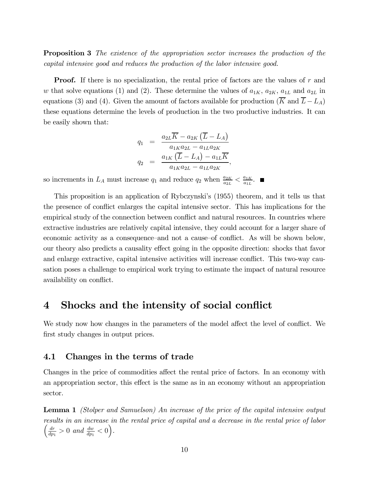**Proposition 3** The existence of the appropriation sector increases the production of the capital intensive good and reduces the production of the labor intensive good.

**Proof.** If there is no specialization, the rental price of factors are the values of r and w that solve equations (1) and (2). These determine the values of  $a_{1K}$ ,  $a_{2K}$ ,  $a_{1L}$  and  $a_{2L}$  in equations (3) and (4). Given the amount of factors available for production (K and  $L-L_A$ ) these equations determine the levels of production in the two productive industries. It can be easily shown that:

$$
q_1 = \frac{a_{2L}\overline{K} - a_{2K}(\overline{L} - L_A)}{a_{1K}a_{2L} - a_{1L}a_{2K}}
$$
  

$$
q_2 = \frac{a_{1K}(\overline{L} - L_A) - a_{1L}\overline{K}}{a_{1K}a_{2L} - a_{1L}a_{2K}},
$$

so increments in  $L_A$  must increase  $q_1$  and reduce  $q_2$  when  $\frac{a_{2K}}{a_{2L}} < \frac{a_{1K}}{a_{1L}}$ .

This proposition is an application of Rybczynski's (1955) theorem, and it tells us that the presence of conflict enlarges the capital intensive sector. This has implications for the empirical study of the connection between conflict and natural resources. In countries where extractive industries are relatively capital intensive, they could account for a larger share of economic activity as a consequence—and not a cause—of conflict. As will be shown below, our theory also predicts a causality effect going in the opposite direction: shocks that favor and enlarge extractive, capital intensive activities will increase conflict. This two-way causation poses a challenge to empirical work trying to estimate the impact of natural resource availability on conflict.

# 4 Shocks and the intensity of social conflict

We study now how changes in the parameters of the model affect the level of conflict. We first study changes in output prices.

### 4.1 Changes in the terms of trade

Changes in the price of commodities affect the rental price of factors. In an economy with an appropriation sector, this effect is the same as in an economy without an appropriation sector.

Lemma 1 (Stolper and Samuelson) An increase of the price of the capital intensive output results in an increase in the rental price of capital and a decrease in the rental price of labor  $\left(\frac{dr}{dp_1} > 0 \text{ and } \frac{dw}{dp_1} < 0\right).$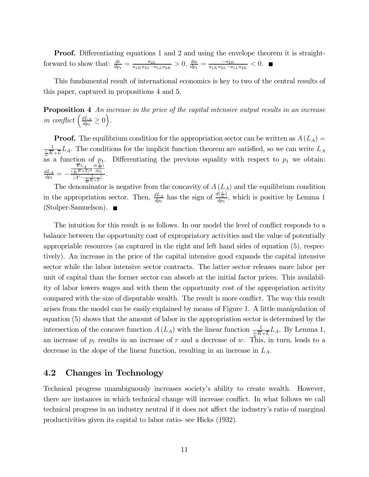**Proof.** Differentiating equations 1 and 2 and using the envelope theorem it is straightforward to show that:  $\frac{dr}{dp_1} = \frac{a_{2L}}{a_{1K}a_{2L}-a_{1L}a_{2K}} > 0$ ,  $\frac{dw}{dp_1} = \frac{-a_{2K}}{a_{1K}a_{2L}-a_{1L}a_{2K}} < 0$ .

This fundamental result of international economics is key to two of the central results of this paper, captured in propositions 4 and 5.

**Proposition 4** An increase in the price of the capital intensive output results in an increase in conflict  $\left(\frac{dL_A}{dp_1} \ge 0\right)$ .

**Proof.** The equilibrium condition for the appropriation sector can be written as  $A(L_A)$  =  $\frac{1}{w}\overline{K}+\overline{L}$ , The conditions for the implicit function theorem are satisfied, so we can write  $L_A$ as a function of  $p_1$ . Differentiating the previous equality with respect to  $p_1$  we obtain:  $\frac{dL_A}{dp_1}= \frac{KL_A}{(\frac{r}{w}\overline{K}+\overline{L})^2}$  $rac{d(\frac{r}{w})}{dp_1}$  $\frac{\frac{1}{w}K+L)^{2}u_{p_1}}{[A'-\frac{1}{w}\overline{K}+\overline{L}]}$ 

The denominator is negative from the concavity of  $A(L_A)$  and the equilibrium condition in the appropriation sector. Then,  $\frac{dL_A}{dp_1}$  has the sign of  $\frac{d(\frac{r}{w})}{dp_1}$ , which is positive by Lemma 1 (Stolper-Samuelson).

The intuition for this result is as follows. In our model the level of conflict responds to a balance between the opportunity cost of expropriatory activities and the value of potentially appropriable resources (as captured in the right and left hand sides of equation (5), respectively). An increase in the price of the capital intensive good expands the capital intensive sector while the labor intensive sector contracts. The latter sector releases more labor per unit of capital than the former sector can absorb at the initial factor prices. This availability of labor lowers wages and with them the opportunity cost of the appropriation activity compared with the size of disputable wealth. The result is more conflict. The way this result arises from the model can be easily explained by means of Figure 1. A little manipulation of equation (5) shows that the amount of labor in the appropriation sector is determined by the intersection of the concave function  $A(L_A)$  with the linear function  $\frac{1}{\sqrt[n]{K+L}}L_A$ . By Lemma 1, an increase of  $p_1$  results in an increase of r and a decrease of w. This, in turn, leads to a decrease in the slope of the linear function, resulting in an increase in  $L_A$ .

### 4.2 Changes in Technology

Technical progress unambiguously increases society's ability to create wealth. However, there are instances in which technical change will increase conflict. In what follows we call technical progress in an industry neutral if it does not affect the industry's ratio of marginal productivities given its capital to labor ratio- see Hicks (1932).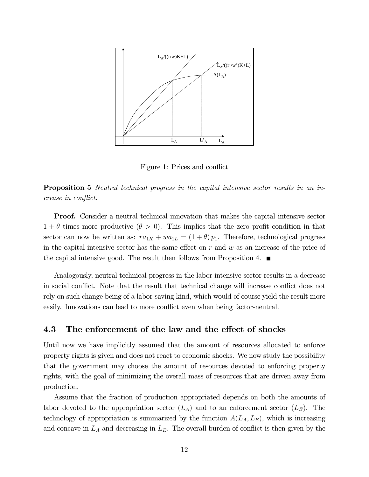

Figure 1: Prices and conflict

**Proposition 5** Neutral technical progress in the capital intensive sector results in an increase in conflict.

**Proof.** Consider a neutral technical innovation that makes the capital intensive sector  $1 + \theta$  times more productive  $(\theta > 0)$ . This implies that the zero profit condition in that sector can now be written as:  $ra_{1K} + wa_{1L} = (1 + \theta) p_1$ . Therefore, technological progress in the capital intensive sector has the same effect on  $r$  and  $w$  as an increase of the price of the capital intensive good. The result then follows from Proposition 4.  $\blacksquare$ 

Analogously, neutral technical progress in the labor intensive sector results in a decrease in social conflict. Note that the result that technical change will increase conflict does not rely on such change being of a labor-saving kind, which would of course yield the result more easily. Innovations can lead to more conflict even when being factor-neutral.

### 4.3 The enforcement of the law and the effect of shocks

Until now we have implicitly assumed that the amount of resources allocated to enforce property rights is given and does not react to economic shocks. We now study the possibility that the government may choose the amount of resources devoted to enforcing property rights, with the goal of minimizing the overall mass of resources that are driven away from production.

Assume that the fraction of production appropriated depends on both the amounts of labor devoted to the appropriation sector  $(L_A)$  and to an enforcement sector  $(L_E)$ . The technology of appropriation is summarized by the function  $A(L_A, L_E)$ , which is increasing and concave in  $L_A$  and decreasing in  $L_E$ . The overall burden of conflict is then given by the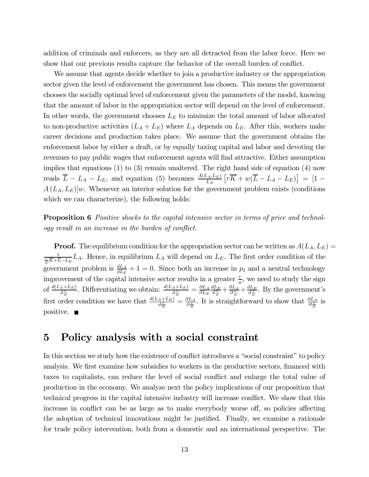addition of criminals and enforcers, as they are all detracted from the labor force. Here we show that our previous results capture the behavior of the overall burden of conflict.

We assume that agents decide whether to join a productive industry or the appropriation sector given the level of enforcement the government has chosen. This means the government chooses the socially optimal level of enforcement given the parameters of the model, knowing that the amount of labor in the appropriation sector will depend on the level of enforcement. In other words, the government chooses  $L<sub>E</sub>$  to minimize the total amount of labor allocated to non-productive activities  $(L_A + L_E)$  where  $L_A$  depends on  $L_E$ . After this, workers make career decisions and production takes place. We assume that the government obtains the enforcement labor by either a draft, or by equally taxing capital and labor and devoting the revenues to pay public wages that enforcement agents will find attractive. Either assumption implies that equations (1) to (3) remain unaltered. The right hand side of equation (4) now reads  $\overline{L} - L_A - L_E$ , and equation (5) becomes  $\frac{A(L_A, L_E)}{L_A} \left[ r \overline{K} + w(\overline{L} - L_A - L_E) \right] = [1 A(L_A, L_E)|w$ . Whenever an interior solution for the government problem exists (conditions which we can characterize), the following holds:

**Proposition 6** Positive shocks to the capital intensive sector in terms of price and technology result in an increase in the burden of conflict.

**Proof.** The equilibrium condition for the appropriation sector can be written as  $A(L_A, L_E) =$  $\frac{1}{w\overline{K}+\overline{L}-L_E}L_A$ . Hence, in equilibrium  $L_A$  will depend on  $L_E$ . The first order condition of the government problem is  $\frac{dL_A}{dL_E} + 1 = 0$ . Since both an increase in  $p_1$  and a neutral technology improvement of the capital intensive sector results in a greater  $\frac{r}{w}$ , we need to study the sign of  $\frac{d(L_A + L_E)}{d_w^T}$ . Differentiating we obtain:  $\frac{d(L_A + L_E)}{d_w^T} = \frac{\partial L_A}{\partial L_E}$  $\frac{dL_E}{d_w^{\frac{r}{w}}} + \frac{\partial L_A}{\partial_w^{\frac{r}{w}}} + \frac{dL_E}{d_w^{\frac{r}{w}}}$ . By the government's first order condition we have that  $\frac{d(L_A+L_E)}{d_w^T} = \frac{\partial L_A}{\partial_w^T}$ . It is straightforward to show that  $\frac{\partial L_A}{\partial_w^T}$  is positive.  $\blacksquare$ 

# 5 Policy analysis with a social constraint

In this section we study how the existence of conflict introduces a "social constraint" to policy analysis. We first examine how subsidies to workers in the productive sectors, financed with taxes to capitalists, can reduce the level of social conflict and enlarge the total value of production in the economy. We analyze next the policy implications of our proposition that technical progress in the capital intensive industry will increase conflict. We show that this increase in conflict can be as large as to make everybody worse off, so policies affecting the adoption of technical innovations might be justified. Finally, we examine a rationale for trade policy intervention, both from a domestic and an international perspective. The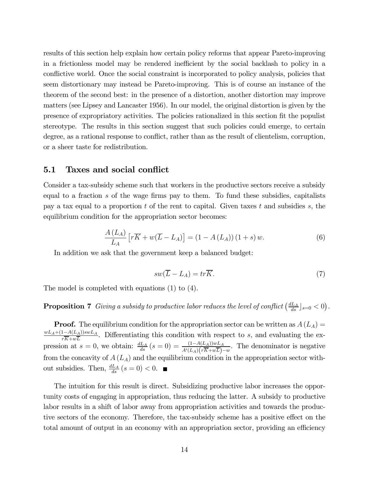results of this section help explain how certain policy reforms that appear Pareto-improving in a frictionless model may be rendered inefficient by the social backlash to policy in a conflictive world. Once the social constraint is incorporated to policy analysis, policies that seem distortionary may instead be Pareto-improving. This is of course an instance of the theorem of the second best: in the presence of a distortion, another distortion may improve matters (see Lipsey and Lancaster 1956). In our model, the original distortion is given by the presence of expropriatory activities. The policies rationalized in this section fit the populist stereotype. The results in this section suggest that such policies could emerge, to certain degree, as a rational response to conflict, rather than as the result of clientelism, corruption, or a sheer taste for redistribution.

### 5.1 Taxes and social conflict

Consider a tax-subsidy scheme such that workers in the productive sectors receive a subsidy equal to a fraction s of the wage firms pay to them. To fund these subsidies, capitalists pay a tax equal to a proportion t of the rent to capital. Given taxes t and subsidies s, the equilibrium condition for the appropriation sector becomes:

$$
\frac{A(L_A)}{L_A} \left[ r\overline{K} + w(\overline{L} - L_A) \right] = (1 - A(L_A))(1 + s) w.
$$
 (6)

In addition we ask that the government keep a balanced budget:

$$
sw(\overline{L} - L_A) = tr\overline{K}.
$$
\n(7)

The model is completed with equations (1) to (4).

# **Proposition 7** Giving a subsidy to productive labor reduces the level of conflict  $\left(\frac{dL_A}{ds}\right)_{s=0} < 0$ .

**Proof.** The equilibrium condition for the appropriation sector can be written as  $A(L_A)$  $\frac{wL_A+(1-A(L_A))swL_A}{r\overline{K}+w\overline{L}}$ . Differentiating this condition with respect to s, and evaluating the expression at  $s = 0$ , we obtain:  $\frac{dL_A}{ds}(s=0) = \frac{(1-A(L_A))wL_A}{A'(L_A)(r\overline{K}+w\overline{L})-w}$ . The denominator is negative from the concavity of  $A(L_A)$  and the equilibrium condition in the appropriation sector without subsidies. Then,  $\frac{dL_A}{ds}$   $(s = 0) < 0$ .

The intuition for this result is direct. Subsidizing productive labor increases the opportunity costs of engaging in appropriation, thus reducing the latter. A subsidy to productive labor results in a shift of labor away from appropriation activities and towards the productive sectors of the economy. Therefore, the tax-subsidy scheme has a positive effect on the total amount of output in an economy with an appropriation sector, providing an efficiency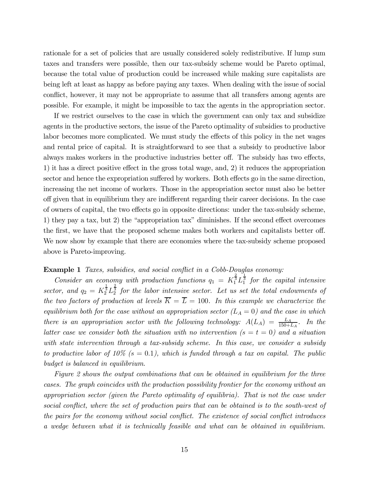rationale for a set of policies that are usually considered solely redistributive. If lump sum taxes and transfers were possible, then our tax-subsidy scheme would be Pareto optimal, because the total value of production could be increased while making sure capitalists are being left at least as happy as before paying any taxes. When dealing with the issue of social conflict, however, it may not be appropriate to assume that all transfers among agents are possible. For example, it might be impossible to tax the agents in the appropriation sector.

If we restrict ourselves to the case in which the government can only tax and subsidize agents in the productive sectors, the issue of the Pareto optimality of subsidies to productive labor becomes more complicated. We must study the effects of this policy in the net wages and rental price of capital. It is straightforward to see that a subsidy to productive labor always makes workers in the productive industries better off. The subsidy has two effects, 1) it has a direct positive effect in the gross total wage, and, 2) it reduces the appropriation sector and hence the expropriation suffered by workers. Both effects go in the same direction, increasing the net income of workers. Those in the appropriation sector must also be better off given that in equilibrium they are indifferent regarding their career decisions. In the case of owners of capital, the two effects go in opposite directions: under the tax-subsidy scheme, 1) they pay a tax, but 2) the "appropriation tax" diminishes. If the second effect overcomes the first, we have that the proposed scheme makes both workers and capitalists better off. We now show by example that there are economies where the tax-subsidy scheme proposed above is Pareto-improving.

### Example 1 Taxes, subsidies, and social conflict in a Cobb-Douglas economy:

Consider an economy with production functions  $q_1 = K_1^{\frac{2}{3}} L_1^{\frac{1}{3}}$  for the capital intensive sector, and  $q_2 = K_2^{\frac{1}{3}} L_2^{\frac{2}{3}}$  for the labor intensive sector. Let us set the total endowments of the two factors of production at levels  $\overline{K} = \overline{L} = 100$ . In this example we characterize the equilibrium both for the case without an appropriation sector  $(L_A = 0)$  and the case in which there is an appropriation sector with the following technology:  $A(L_A) = \frac{L_A}{150+L_A}$ . In the latter case we consider both the situation with no intervention  $(s = t = 0)$  and a situation with state intervention through a tax-subsidy scheme. In this case, we consider a subsidy to productive labor of 10%  $(s = 0.1)$ , which is funded through a tax on capital. The public budget is balanced in equilibrium.

Figure 2 shows the output combinations that can be obtained in equilibrium for the three cases. The graph coincides with the production possibility frontier for the economy without an appropriation sector (given the Pareto optimality of equilibria). That is not the case under social conflict, where the set of production pairs that can be obtained is to the south-west of the pairs for the economy without social conflict. The existence of social conflict introduces a wedge between what it is technically feasible and what can be obtained in equilibrium.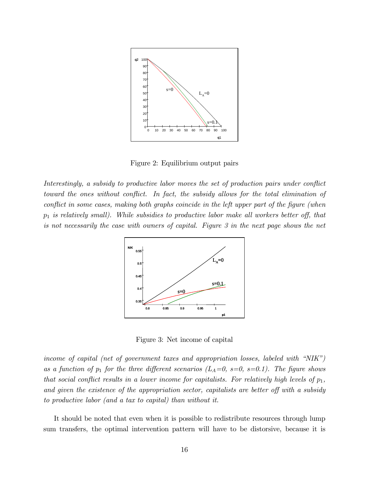

Figure 2: Equilibrium output pairs

Interestingly, a subsidy to productive labor moves the set of production pairs under conflict toward the ones without conflict. In fact, the subsidy allows for the total elimination of conflict in some cases, making both graphs coincide in the left upper part of the figure (when  $p_1$  is relatively small). While subsidies to productive labor make all workers better off, that is not necessarily the case with owners of capital. Figure 3 in the next page shows the net



Figure 3: Net income of capital

income of capital (net of government taxes and appropriation losses, labeled with "NIK") as a function of  $p_1$  for the three different scenarios ( $L_A=0$ ,  $s=0$ ,  $s=0.1$ ). The figure shows that social conflict results in a lower income for capitalists. For relatively high levels of  $p_1$ , and given the existence of the appropriation sector, capitalists are better off with a subsidy to productive labor (and a tax to capital) than without it.

It should be noted that even when it is possible to redistribute resources through lump sum transfers, the optimal intervention pattern will have to be distorsive, because it is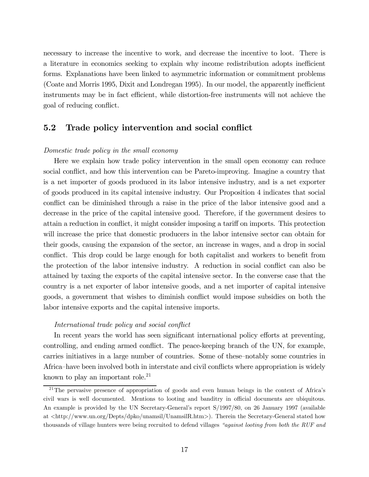necessary to increase the incentive to work, and decrease the incentive to loot. There is a literature in economics seeking to explain why income redistribution adopts inefficient forms. Explanations have been linked to asymmetric information or commitment problems (Coate and Morris 1995, Dixit and Londregan 1995). In our model, the apparently inefficient instruments may be in fact efficient, while distortion-free instruments will not achieve the goal of reducing conflict.

### 5.2 Trade policy intervention and social conflict

### Domestic trade policy in the small economy

Here we explain how trade policy intervention in the small open economy can reduce social conflict, and how this intervention can be Pareto-improving. Imagine a country that is a net importer of goods produced in its labor intensive industry, and is a net exporter of goods produced in its capital intensive industry. Our Proposition 4 indicates that social conflict can be diminished through a raise in the price of the labor intensive good and a decrease in the price of the capital intensive good. Therefore, if the government desires to attain a reduction in conflict, it might consider imposing a tariff on imports. This protection will increase the price that domestic producers in the labor intensive sector can obtain for their goods, causing the expansion of the sector, an increase in wages, and a drop in social conflict. This drop could be large enough for both capitalist and workers to benefit from the protection of the labor intensive industry. A reduction in social conflict can also be attained by taxing the exports of the capital intensive sector. In the converse case that the country is a net exporter of labor intensive goods, and a net importer of capital intensive goods, a government that wishes to diminish conflict would impose subsidies on both the labor intensive exports and the capital intensive imports.

### International trade policy and social conflict

In recent years the world has seen significant international policy efforts at preventing, controlling, and ending armed conflict. The peace-keeping branch of the UN, for example, carries initiatives in a large number of countries. Some of these—notably some countries in Africa—have been involved both in interstate and civil conflicts where appropriation is widely known to play an important role.<sup>21</sup>

<sup>&</sup>lt;sup>21</sup>The pervasive presence of appropriation of goods and even human beings in the context of Africa's civil wars is well documented. Mentions to looting and banditry in official documents are ubiquitous. An example is provided by the UN Secretary-General's report S/1997/80, on 26 January 1997 (available at <http://www.un.org/Depts/dpko/unamsil/UnamsilR.htm>). Therein the Secretary-General stated how thousands of village hunters were being recruited to defend villages "against looting from both the RUF and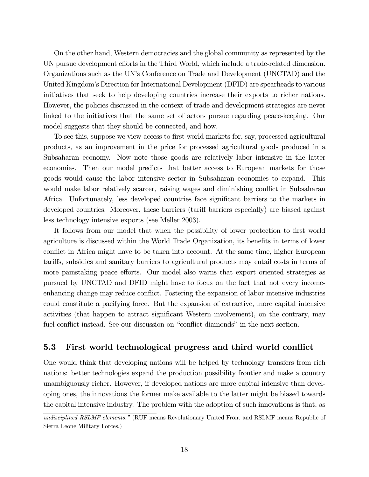On the other hand, Western democracies and the global community as represented by the UN pursue development efforts in the Third World, which include a trade-related dimension. Organizations such as the UN's Conference on Trade and Development (UNCTAD) and the United Kingdom's Direction for International Development (DFID) are spearheads to various initiatives that seek to help developing countries increase their exports to richer nations. However, the policies discussed in the context of trade and development strategies are never linked to the initiatives that the same set of actors pursue regarding peace-keeping. Our model suggests that they should be connected, and how.

To see this, suppose we view access to first world markets for, say, processed agricultural products, as an improvement in the price for processed agricultural goods produced in a Subsaharan economy. Now note those goods are relatively labor intensive in the latter economies. Then our model predicts that better access to European markets for those goods would cause the labor intensive sector in Subsaharan economies to expand. This would make labor relatively scarcer, raising wages and diminishing conflict in Subsaharan Africa. Unfortunately, less developed countries face significant barriers to the markets in developed countries. Moreover, these barriers (tariff barriers especially) are biased against less technology intensive exports (see Meller 2003).

It follows from our model that when the possibility of lower protection to first world agriculture is discussed within the World Trade Organization, its benefits in terms of lower conflict in Africa might have to be taken into account. At the same time, higher European tariffs, subsidies and sanitary barriers to agricultural products may entail costs in terms of more painstaking peace efforts. Our model also warns that export oriented strategies as pursued by UNCTAD and DFID might have to focus on the fact that not every incomeenhancing change may reduce conflict. Fostering the expansion of labor intensive industries could constitute a pacifying force. But the expansion of extractive, more capital intensive activities (that happen to attract significant Western involvement), on the contrary, may fuel conflict instead. See our discussion on "conflict diamonds" in the next section.

### 5.3 First world technological progress and third world conflict

One would think that developing nations will be helped by technology transfers from rich nations: better technologies expand the production possibility frontier and make a country unambiguously richer. However, if developed nations are more capital intensive than developing ones, the innovations the former make available to the latter might be biased towards the capital intensive industry. The problem with the adoption of such innovations is that, as

undisciplined RSLMF elements." (RUF means Revolutionary United Front and RSLMF means Republic of Sierra Leone Military Forces.)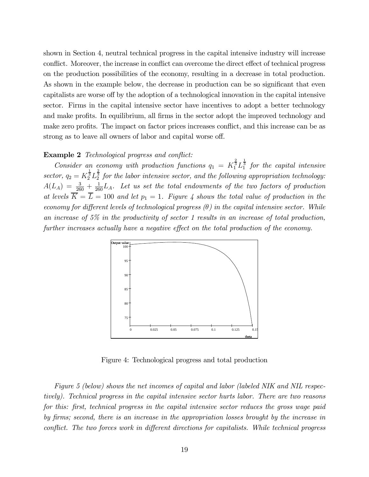shown in Section 4, neutral technical progress in the capital intensive industry will increase conflict. Moreover, the increase in conflict can overcome the direct effect of technical progress on the production possibilities of the economy, resulting in a decrease in total production. As shown in the example below, the decrease in production can be so significant that even capitalists are worse off by the adoption of a technological innovation in the capital intensive sector. Firms in the capital intensive sector have incentives to adopt a better technology and make profits. In equilibrium, all firms in the sector adopt the improved technology and make zero profits. The impact on factor prices increases conflict, and this increase can be as strong as to leave all owners of labor and capital worse off.

#### Example 2 Technological progress and conflict:

Consider an economy with production functions  $q_1 = K_1^{\frac{2}{3}} L_1^{\frac{1}{3}}$  for the capital intensive sector,  $q_2 = K_2^{\frac{1}{3}} L_2^{\frac{2}{3}}$  for the labor intensive sector, and the following appropriation technology:  $A(L_A) = \frac{3}{260} + \frac{1}{260}L_A$ . Let us set the total endowments of the two factors of production at levels  $\overline{K} = \overline{L} = 100$  and let  $p_1 = 1$ . Figure 4 shows the total value of production in the economy for different levels of technological progress  $(\theta)$  in the capital intensive sector. While an increase of 5% in the productivity of sector 1 results in an increase of total production, further increases actually have a negative effect on the total production of the economy.



Figure 4: Technological progress and total production

Figure 5 (below) shows the net incomes of capital and labor (labeled NIK and NIL respectively). Technical progress in the capital intensive sector hurts labor. There are two reasons for this: first, technical progress in the capital intensive sector reduces the gross wage paid by firms; second, there is an increase in the appropriation losses brought by the increase in conflict. The two forces work in different directions for capitalists. While technical progress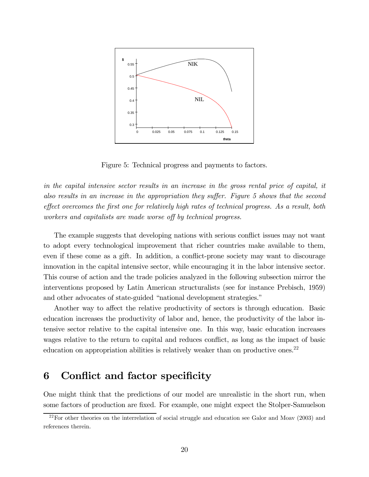

Figure 5: Technical progress and payments to factors.

in the capital intensive sector results in an increase in the gross rental price of capital, it also results in an increase in the appropriation they suffer. Figure 5 shows that the second effect overcomes the first one for relatively high rates of technical progress. As a result, both workers and capitalists are made worse off by technical progress.

The example suggests that developing nations with serious conflict issues may not want to adopt every technological improvement that richer countries make available to them, even if these come as a gift. In addition, a conflict-prone society may want to discourage innovation in the capital intensive sector, while encouraging it in the labor intensive sector. This course of action and the trade policies analyzed in the following subsection mirror the interventions proposed by Latin American structuralists (see for instance Prebisch, 1959) and other advocates of state-guided "national development strategies."

Another way to affect the relative productivity of sectors is through education. Basic education increases the productivity of labor and, hence, the productivity of the labor intensive sector relative to the capital intensive one. In this way, basic education increases wages relative to the return to capital and reduces conflict, as long as the impact of basic education on appropriation abilities is relatively weaker than on productive ones.<sup>22</sup>

# 6 Conflict and factor specificity

One might think that the predictions of our model are unrealistic in the short run, when some factors of production are fixed. For example, one might expect the Stolper-Samuelson

 $22$ For other theories on the interrelation of social struggle and education see Galor and Moav (2003) and references therein.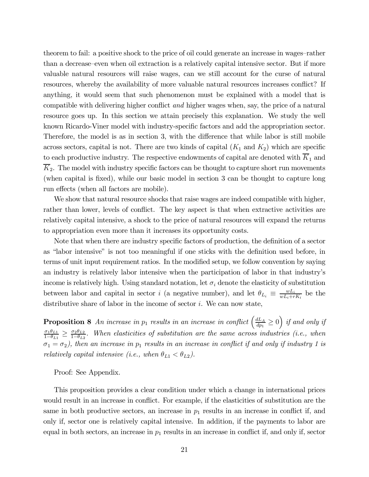theorem to fail: a positive shock to the price of oil could generate an increase in wages—rather than a decrease—even when oil extraction is a relatively capital intensive sector. But if more valuable natural resources will raise wages, can we still account for the curse of natural resources, whereby the availability of more valuable natural resources increases conflict? If anything, it would seem that such phenomenon must be explained with a model that is compatible with delivering higher conflict and higher wages when, say, the price of a natural resource goes up. In this section we attain precisely this explanation. We study the well known Ricardo-Viner model with industry-specific factors and add the appropriation sector. Therefore, the model is as in section 3, with the difference that while labor is still mobile across sectors, capital is not. There are two kinds of capital  $(K_1 \text{ and } K_2)$  which are specific to each productive industry. The respective endowments of capital are denoted with  $\overline{K}_1$  and  $\overline{K}_2$ . The model with industry specific factors can be thought to capture short run movements (when capital is fixed), while our basic model in section 3 can be thought to capture long run effects (when all factors are mobile).

We show that natural resource shocks that raise wages are indeed compatible with higher, rather than lower, levels of conflict. The key aspect is that when extractive activities are relatively capital intensive, a shock to the price of natural resources will expand the returns to appropriation even more than it increases its opportunity costs.

Note that when there are industry specific factors of production, the definition of a sector as "labor intensive" is not too meaningful if one sticks with the definition used before, in terms of unit input requirement ratios. In the modified setup, we follow convention by saying an industry is relatively labor intensive when the participation of labor in that industry's income is relatively high. Using standard notation, let  $\sigma_i$  denote the elasticity of substitution between labor and capital in sector *i* (a negative number), and let  $\theta_{L_i} \equiv \frac{w L_i}{w L_i + r K_i}$  be the distributive share of labor in the income of sector  $i$ . We can now state,

**Proposition 8** An increase in  $p_1$  results in an increase in conflict  $\left(\frac{dL_A}{dp_1} \ge 0\right)$  if and only if  $\frac{\sigma_1\theta_{L1}}{1-\theta_{L1}} \geq \frac{\sigma_2\theta_{L2}}{1-\theta_{L2}}$ . When elasticities of substitution are the same across industries (i.e., when  $\sigma_1 = \sigma_2$ ), then an increase in  $p_1$  results in an increase in conflict if and only if industry 1 is relatively capital intensive (i.e., when  $\theta_{L1} < \theta_{L2}$ ).

Proof: See Appendix.

This proposition provides a clear condition under which a change in international prices would result in an increase in conflict. For example, if the elasticities of substitution are the same in both productive sectors, an increase in  $p_1$  results in an increase in conflict if, and only if, sector one is relatively capital intensive. In addition, if the payments to labor are equal in both sectors, an increase in  $p_1$  results in an increase in conflict if, and only if, sector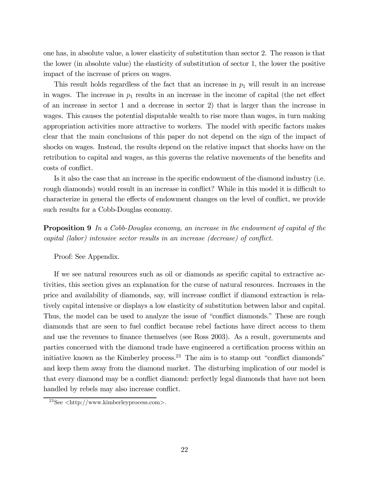one has, in absolute value, a lower elasticity of substitution than sector 2. The reason is that the lower (in absolute value) the elasticity of substitution of sector 1, the lower the positive impact of the increase of prices on wages.

This result holds regardless of the fact that an increase in  $p_1$  will result in an increase in wages. The increase in  $p_1$  results in an increase in the income of capital (the net effect of an increase in sector 1 and a decrease in sector 2) that is larger than the increase in wages. This causes the potential disputable wealth to rise more than wages, in turn making appropriation activities more attractive to workers. The model with specific factors makes clear that the main conclusions of this paper do not depend on the sign of the impact of shocks on wages. Instead, the results depend on the relative impact that shocks have on the retribution to capital and wages, as this governs the relative movements of the benefits and costs of conflict.

Is it also the case that an increase in the specific endowment of the diamond industry (i.e. rough diamonds) would result in an increase in conflict? While in this model it is difficult to characterize in general the effects of endowment changes on the level of conflict, we provide such results for a Cobb-Douglas economy.

Proposition 9 In a Cobb-Douglas economy, an increase in the endowment of capital of the capital (labor) intensive sector results in an increase (decrease) of conflict.

Proof: See Appendix.

If we see natural resources such as oil or diamonds as specific capital to extractive activities, this section gives an explanation for the curse of natural resources. Increases in the price and availability of diamonds, say, will increase conflict if diamond extraction is relatively capital intensive or displays a low elasticity of substitution between labor and capital. Thus, the model can be used to analyze the issue of "conflict diamonds." These are rough diamonds that are seen to fuel conflict because rebel factions have direct access to them and use the revenues to finance themselves (see Ross 2003). As a result, governments and parties concerned with the diamond trade have engineered a certification process within an initiative known as the Kimberley process.<sup>23</sup> The aim is to stamp out "conflict diamonds" and keep them away from the diamond market. The disturbing implication of our model is that every diamond may be a conflict diamond: perfectly legal diamonds that have not been handled by rebels may also increase conflict.

 $23$ See  $\langle$ http://www.kimberleyprocess.com>.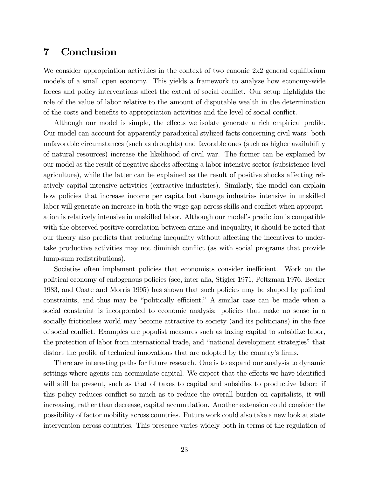# 7 Conclusion

We consider appropriation activities in the context of two canonic  $2x^2$  general equilibrium models of a small open economy. This yields a framework to analyze how economy-wide forces and policy interventions affect the extent of social conflict. Our setup highlights the role of the value of labor relative to the amount of disputable wealth in the determination of the costs and benefits to appropriation activities and the level of social conflict.

Although our model is simple, the effects we isolate generate a rich empirical profile. Our model can account for apparently paradoxical stylized facts concerning civil wars: both unfavorable circumstances (such as droughts) and favorable ones (such as higher availability of natural resources) increase the likelihood of civil war. The former can be explained by our model as the result of negative shocks affecting a labor intensive sector (subsistence-level agriculture), while the latter can be explained as the result of positive shocks affecting relatively capital intensive activities (extractive industries). Similarly, the model can explain how policies that increase income per capita but damage industries intensive in unskilled labor will generate an increase in both the wage gap across skills and conflict when appropriation is relatively intensive in unskilled labor. Although our model's prediction is compatible with the observed positive correlation between crime and inequality, it should be noted that our theory also predicts that reducing inequality without affecting the incentives to undertake productive activities may not diminish conflict (as with social programs that provide lump-sum redistributions).

Societies often implement policies that economists consider inefficient. Work on the political economy of endogenous policies (see, inter alia, Stigler 1971, Peltzman 1976, Becker 1983, and Coate and Morris 1995) has shown that such policies may be shaped by political constraints, and thus may be "politically efficient." A similar case can be made when a social constraint is incorporated to economic analysis: policies that make no sense in a socially frictionless world may become attractive to society (and its politicians) in the face of social conflict. Examples are populist measures such as taxing capital to subsidize labor, the protection of labor from international trade, and "national development strategies" that distort the profile of technical innovations that are adopted by the country's firms.

There are interesting paths for future research. One is to expand our analysis to dynamic settings where agents can accumulate capital. We expect that the effects we have identified will still be present, such as that of taxes to capital and subsidies to productive labor: if this policy reduces conflict so much as to reduce the overall burden on capitalists, it will increasing, rather than decrease, capital accumulation. Another extension could consider the possibility of factor mobility across countries. Future work could also take a new look at state intervention across countries. This presence varies widely both in terms of the regulation of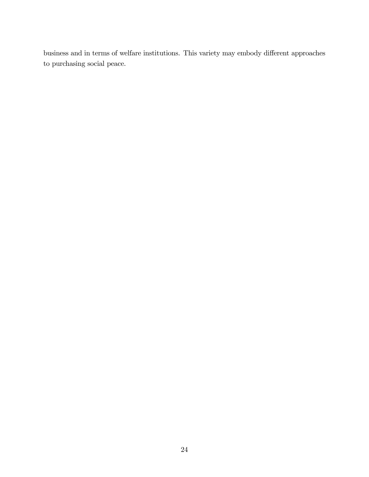business and in terms of welfare institutions. This variety may embody different approaches to purchasing social peace.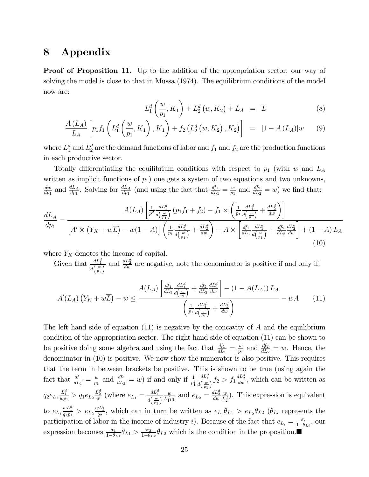# 8 Appendix

**Proof of Proposition 11.** Up to the addition of the appropriation sector, our way of solving the model is close to that in Mussa (1974). The equilibrium conditions of the model now are:

$$
L_1^d\left(\frac{w}{p_1}, \overline{K}_1\right) + L_2^d\left(w, \overline{K}_2\right) + L_A = \overline{L} \tag{8}
$$

$$
\frac{A(L_A)}{L_A} \left[ p_1 f_1 \left( L_1^d \left( \frac{w}{p_1}, \overline{K}_1 \right), \overline{K}_1 \right) + f_2 \left( L_2^d \left( w, \overline{K}_2 \right), \overline{K}_2 \right) \right] = \left[ 1 - A(L_A) \right] w \tag{9}
$$

where  $L_1^d$  and  $L_2^d$  are the demand functions of labor and  $f_1$  and  $f_2$  are the production functions in each productive sector.

Totally differentiating the equilibrium conditions with respect to  $p_1$  (with w and  $L_A$ written as implicit functions of  $p_1$ ) one gets a system of two equations and two unknowns,  $\frac{dw}{dp_1}$  and  $\frac{dL_A}{dp_1}$ . Solving for  $\frac{dL_A}{dp_1}$  (and using the fact that  $\frac{df_1}{dL_1} = \frac{w}{p_1}$  and  $\frac{df_2}{dL_2} = w$ ) we find that:

$$
\frac{dL_A}{dp_1} = \frac{A(L_A) \left[ \frac{1}{p_1^2} \frac{dL_1^d}{d\left(\frac{w}{p_1}\right)} \left(p_1 f_1 + f_2\right) - f_1 \times \left(\frac{1}{p_1} \frac{dL_1^d}{d\left(\frac{w}{p_1}\right)} + \frac{dL_2^d}{dw}\right) \right]}{\left[A' \times \left(Y_K + w\overline{L}\right) - w(1 - A)\right] \left(\frac{1}{p_1} \frac{dL_1^d}{d\left(\frac{w}{p_1}\right)} + \frac{dL_2^d}{dw}\right) - A \times \left[\frac{df_1}{dL_1} \frac{dL_1^d}{d\left(\frac{w}{p_1}\right)} + \frac{df_2}{dL_2} \frac{dL_2^d}{dw}\right] + (1 - A) L_A}\n\tag{10}
$$

where  $Y_K$  denotes the income of capital.

Given that  $\frac{dL_1^d}{dL_2^d}$  $d\left(\frac{w}{w}\right)$  $\overline{p}_1$  $\frac{dL_2^d}{dw}$  are negative, note the denominator is positive if and only if:

$$
A'(L_A)\left(Y_K + w\overline{L}\right) - w \le \frac{A(L_A)\left[\frac{df_1}{dL_1}\frac{dL_1^d}{d\left(\frac{w}{p_1}\right)} + \frac{df_2}{dL_2}\frac{dL_2^d}{dw}\right] - (1 - A(L_A))L_A}{\left(\frac{1}{p_1}\frac{dL_1^d}{d\left(\frac{w}{p_1}\right)} + \frac{dL_2^d}{dw}\right)} - wA \qquad (11)
$$

The left hand side of equation  $(11)$  is negative by the concavity of A and the equilibrium condition of the appropriation sector. The right hand side of equation (11) can be shown to be positive doing some algebra and using the fact that  $\frac{df_1}{dL_1} = \frac{w}{p_1}$  and  $\frac{df_2}{dL_2} = w$ . Hence, the denominator in (10) is positive. We now show the numerator is also positive. This requires that the term in between brackets be positive. This is shown to be true (using again the fact that  $\frac{df_1}{dL_1} = \frac{w}{p_1}$  and  $\frac{df_2}{dL_2} = w$ ) if and only if  $\frac{1}{p_1^2}$  $dL_1^d$  $\overline{d\left(\frac{w}{w}\right)}$  $p_1$  $\frac{1}{\sqrt{2}} f_2 > f_1 \frac{dL_2^d}{dw}$ , which can be written as  $q_2e_{L_1}\frac{L_1^d}{wp_1} > q_1e_{L_2}\frac{L_2^d}{w}$  (where  $e_{L_1} = \frac{dL_1^d}{d(w)}$  $\overline{d\left(\frac{w}{m}\right)}$  $p<sub>1</sub>$  $\frac{w}{\sqrt{L_1^d p_1}}$  and  $e_{L_2} = \frac{dL_2^d}{dw}$ w  $\frac{w}{L_2^d}$ ). This expression is equivalent to  $e_{L_1} \frac{wL_1^d}{q_1p_1} > e_{L_2} \frac{wL_2^d}{q_2}$ , which can in turn be written as  $e_{L_1} \theta_{L_1} > e_{L_2} \theta_{L_2}$  ( $\theta_{Li}$  represents the participation of labor in the income of industry *i*). Because of the fact that  $e_{L_i} = \frac{\sigma_i}{1-\theta_{Li}}$ , our expression becomes  $\frac{\sigma_1}{1-\theta_{L1}}\theta_{L1} > \frac{\sigma_2}{1-\theta_{L2}}\theta_{L2}$  which is the condition in the proposition.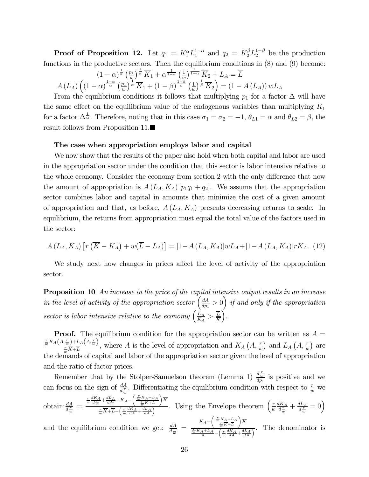**Proof of Proposition 12.** Let  $q_1 = K_1^{\alpha} L_1^{1-\alpha}$  and  $q_2 = K_2^{\beta} L_2^{1-\beta}$  be the production functions in the productive sectors. Then the equilibrium conditions in (8) and (9) become:<br>  $(1-\alpha)^{\frac{1}{\alpha}}\left(\frac{p_1}{\alpha}\right)^{\frac{1}{\alpha}}\overline{K}_1+\alpha^{\frac{1}{1-\alpha}}\left(\frac{1}{\alpha}\right)^{\frac{1}{1-\alpha}}\overline{K}_2+L_A=\overline{L}$ 

$$
(1 - \alpha)^{\frac{1}{\alpha}} \left(\frac{p_1}{w}\right)^{\frac{1}{\alpha}} \overline{K}_1 + \alpha^{\frac{1}{1 - \alpha}} \left(\frac{1}{w}\right)^{\frac{1}{1 - \alpha}} \overline{K}_2 + L_A = \overline{L}
$$
  

$$
A(L_A) \left( (1 - \alpha)^{\frac{1 - \alpha}{\alpha}} \left(\frac{p_1}{w}\right)^{\frac{1}{\alpha}} \overline{K}_1 + (1 - \beta)^{\frac{1 - \beta}{\beta}} \left(\frac{1}{w}\right)^{\frac{1}{\beta}} \overline{K}_2 \right) = (1 - A(L_A)) w L_A
$$

From the equilibrium conditions it follows that multiplying  $p_1$  for a factor  $\Delta$  will have the same effect on the equilibrium value of the endogenous variables than multiplying  $K_1$ for a factor  $\Delta^{\frac{1}{\alpha}}$ . Therefore, noting that in this case  $\sigma_1 = \sigma_2 = -1$ ,  $\theta_{L1} = \alpha$  and  $\theta_{L2} = \beta$ , the result follows from Proposition 11. $\blacksquare$ 

### The case when appropriation employs labor and capital

We now show that the results of the paper also hold when both capital and labor are used in the appropriation sector under the condition that this sector is labor intensive relative to the whole economy. Consider the economy from section 2 with the only difference that now the amount of appropriation is  $A(L_A, K_A)[p_1q_1 + q_2]$ . We assume that the appropriation sector combines labor and capital in amounts that minimize the cost of a given amount of appropriation and that, as before,  $A(L_A, K_A)$  presents decreasing returns to scale. In equilibrium, the returns from appropriation must equal the total value of the factors used in the sector:

$$
A(L_A, K_A) [r(\overline{K} - K_A) + w(\overline{L} - L_A)] = [1 - A(L_A, K_A)]wL_A + [1 - A(L_A, K_A)]rK_A.
$$
 (12)

We study next how changes in prices affect the level of activity of the appropriation sector.

**Proposition 10** An increase in the price of the capital intensive output results in an increase in the level of activity of the appropriation sector  $\left(\frac{dA}{dp_1} > 0\right)$  if and only if the appropriation sector is labor intensive relative to the economy  $\left(\frac{L_A}{K_A} > \frac{\overline{L}}{\overline{K}}\right)$ ´ .

**Proof.** The equilibrium condition for the appropriation sector can be written as  $A =$  $\frac{r}{w}K_A(A,\frac{r}{w})+L_A(A,\frac{r}{w})$ , where A is the level of appropriation and  $K_A(A,\frac{r}{w})$  and  $L_A(A,\frac{r}{w})$  are the demands of capital and labor of the appropriation sector given the level of appropriation and the ratio of factor prices.

Remember that by the Stolper-Samuelson theorem (Lemma 1)  $\frac{d\frac{\tau}{w}}{dp_1}$  is positive and we can focus on the sign of  $\frac{dA}{dx}$ . Differentiating the equilibrium condition with respect to  $\frac{r}{w}$  we obtain: $\frac{dA}{d\frac{r}{w}}$  =  $\frac{r}{w}\frac{dK_A}{d\frac{r}{w}}+\frac{dL_A}{d\frac{r}{w}}+K_A-\Bigg(\frac{\frac{r}{w}K_A+L_A}{\frac{r}{w}K+L}$  $\overline{K}$  $\frac{d^2x}{dx^2} + K_A - \left(\frac{w}{w}\frac{dK_A}{dx} + \frac{dL_A}{dx}\right)^2$ . Using the Envelope theorem  $\left(\frac{r}{w}\right)$  $\frac{dK_A}{d\frac{r}{w}} + \frac{dL_A}{d\frac{r}{w}} = 0$ and the equilibrium condition we get:  $\frac{dA}{d_w^T} = \frac{K_A - \left(\frac{\frac{r}{w}K_A + L_A}{\frac{r}{w}K + L_A}\right)}{\frac{r}{w}K_A + L_A - \left(\frac{r}{w} \frac{dK_A}{K_A}\right)}$  $\overline{K}$  $rac{v}{\frac{w}{w}K_A+L_A} - \left(\frac{r}{w}\frac{dK_A}{dA} + \frac{dL_A}{dA}\right)$ . The denominator is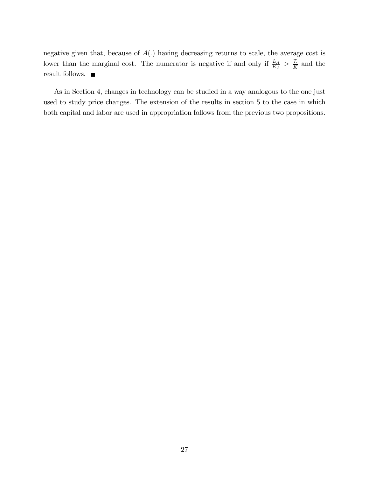negative given that, because of  $A(.)$  having decreasing returns to scale, the average cost is lower than the marginal cost. The numerator is negative if and only if  $\frac{L_A}{K_A} > \frac{\overline{L}}{K}$  and the result follows.  $\blacksquare$ 

As in Section 4, changes in technology can be studied in a way analogous to the one just used to study price changes. The extension of the results in section 5 to the case in which both capital and labor are used in appropriation follows from the previous two propositions.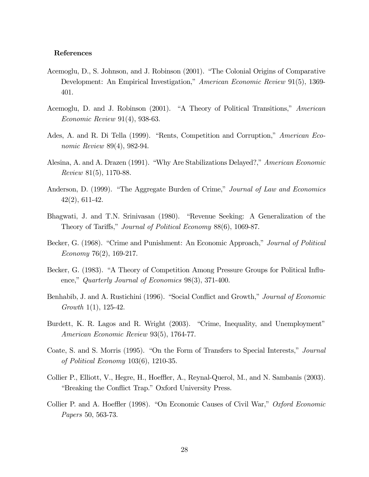### References

- Acemoglu, D., S. Johnson, and J. Robinson (2001). "The Colonial Origins of Comparative Development: An Empirical Investigation," American Economic Review 91(5), 1369- 401.
- Acemoglu, D. and J. Robinson (2001). "A Theory of Political Transitions," American Economic Review 91(4), 938-63.
- Ades, A. and R. Di Tella (1999). "Rents, Competition and Corruption," American Economic Review 89(4), 982-94.
- Alesina, A. and A. Drazen (1991). "Why Are Stabilizations Delayed?," American Economic Review 81(5), 1170-88.
- Anderson, D. (1999). "The Aggregate Burden of Crime," Journal of Law and Economics 42(2), 611-42.
- Bhagwati, J. and T.N. Srinivasan (1980). "Revenue Seeking: A Generalization of the Theory of Tariffs," Journal of Political Economy 88(6), 1069-87.
- Becker, G. (1968). "Crime and Punishment: An Economic Approach," Journal of Political Economy 76(2), 169-217.
- Becker, G. (1983). "A Theory of Competition Among Pressure Groups for Political Influence," Quarterly Journal of Economics 98(3), 371-400.
- Benhabib, J. and A. Rustichini (1996). "Social Conflict and Growth," Journal of Economic Growth 1(1), 125-42.
- Burdett, K. R. Lagos and R. Wright (2003). "Crime, Inequality, and Unemployment" American Economic Review 93(5), 1764-77.
- Coate, S. and S. Morris (1995). "On the Form of Transfers to Special Interests," Journal of Political Economy 103(6), 1210-35.
- Collier P., Elliott, V., Hegre, H., Hoeffler, A., Reynal-Querol, M., and N. Sambanis (2003). "Breaking the Conflict Trap." Oxford University Press.
- Collier P. and A. Hoeffler (1998). "On Economic Causes of Civil War," Oxford Economic Papers 50, 563-73.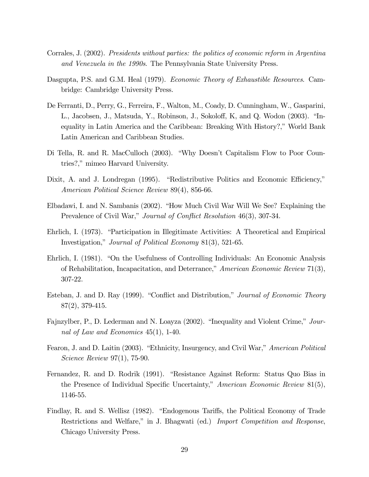- Corrales, J. (2002). Presidents without parties: the politics of economic reform in Argentina and Venezuela in the 1990s. The Pennsylvania State University Press.
- Dasgupta, P.S. and G.M. Heal (1979). *Economic Theory of Exhaustible Resources*. Cambridge: Cambridge University Press.
- De Ferranti, D., Perry, G., Ferreira, F., Walton, M., Coady, D. Cunningham, W., Gasparini, L., Jacobsen, J., Matsuda, Y., Robinson, J., Sokoloff, K, and Q. Wodon (2003). "Inequality in Latin America and the Caribbean: Breaking With History?," World Bank Latin American and Caribbean Studies.
- Di Tella, R. and R. MacCulloch (2003). "Why Doesn't Capitalism Flow to Poor Countries?," mimeo Harvard University.
- Dixit, A. and J. Londregan (1995). "Redistributive Politics and Economic Efficiency," American Political Science Review 89(4), 856-66.
- Elbadawi, I. and N. Sambanis (2002). "How Much Civil War Will We See? Explaining the Prevalence of Civil War," *Journal of Conflict Resolution* 46(3), 307-34.
- Ehrlich, I. (1973). "Participation in Illegitimate Activities: A Theoretical and Empirical Investigation," Journal of Political Economy 81(3), 521-65.
- Ehrlich, I. (1981). "On the Usefulness of Controlling Individuals: An Economic Analysis of Rehabilitation, Incapacitation, and Deterrance," American Economic Review 71(3), 307-22.
- Esteban, J. and D. Ray (1999). "Conflict and Distribution," Journal of Economic Theory 87(2), 379-415.
- Fajnzylber, P., D. Lederman and N. Loayza (2002). "Inequality and Violent Crime," Journal of Law and Economics 45(1), 1-40.
- Fearon, J. and D. Laitin (2003). "Ethnicity, Insurgency, and Civil War," American Political Science Review 97(1), 75-90.
- Fernandez, R. and D. Rodrik (1991). "Resistance Against Reform: Status Quo Bias in the Presence of Individual Specific Uncertainty," American Economic Review 81(5), 1146-55.
- Findlay, R. and S. Wellisz (1982). "Endogenous Tariffs, the Political Economy of Trade Restrictions and Welfare," in J. Bhagwati (ed.) Import Competition and Response, Chicago University Press.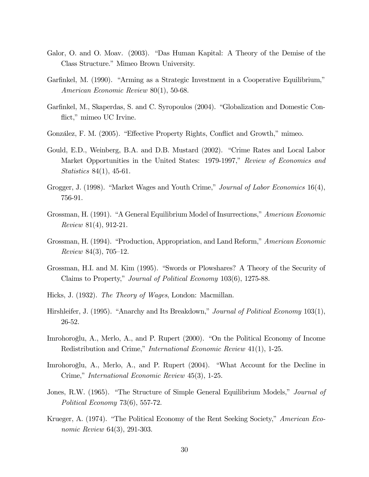- Galor, O. and O. Moav. (2003). "Das Human Kapital: A Theory of the Demise of the Class Structure." Mimeo Brown University.
- Garfinkel, M. (1990). "Arming as a Strategic Investment in a Cooperative Equilibrium," American Economic Review 80(1), 50-68.
- Garfinkel, M., Skaperdas, S. and C. Syropoulos (2004). "Globalization and Domestic Conflict," mimeo UC Irvine.
- González, F. M. (2005). "Effective Property Rights, Conflict and Growth," mimeo.
- Gould, E.D., Weinberg, B.A. and D.B. Mustard (2002). "Crime Rates and Local Labor Market Opportunities in the United States: 1979-1997," Review of Economics and Statistics 84(1), 45-61.
- Grogger, J. (1998). "Market Wages and Youth Crime," Journal of Labor Economics 16(4), 756-91.
- Grossman, H. (1991). "A General Equilibrium Model of Insurrections," American Economic Review 81(4), 912-21.
- Grossman, H. (1994). "Production, Appropriation, and Land Reform," American Economic Review 84(3), 705—12.
- Grossman, H.I. and M. Kim (1995). "Swords or Plowshares? A Theory of the Security of Claims to Property," Journal of Political Economy 103(6), 1275-88.
- Hicks, J. (1932). The Theory of Wages, London: Macmillan.
- Hirshleifer, J. (1995). "Anarchy and Its Breakdown," *Journal of Political Economy* 103(1), 26-52.
- Imrohoroglu, A., Merlo, A., and P. Rupert (2000). "On the Political Economy of Income Redistribution and Crime," International Economic Review 41(1), 1-25.
- Imrohoroglu, A., Merlo, A., and P. Rupert (2004). "What Account for the Decline in Crime," International Economic Review 45(3), 1-25.
- Jones, R.W. (1965). "The Structure of Simple General Equilibrium Models," *Journal of* Political Economy 73(6), 557-72.
- Krueger, A. (1974). "The Political Economy of the Rent Seeking Society," American Economic Review 64(3), 291-303.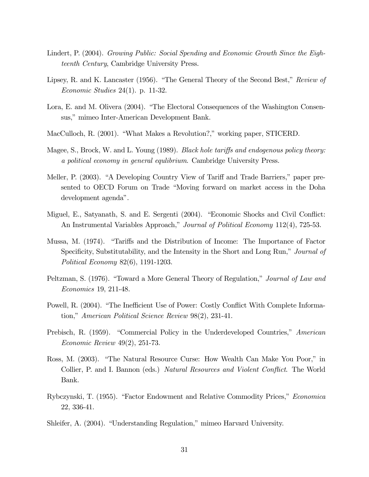- Lindert, P. (2004). Growing Public: Social Spending and Economic Growth Since the Eighteenth Century, Cambridge University Press.
- Lipsey, R. and K. Lancaster (1956). "The General Theory of the Second Best," Review of Economic Studies 24(1). p. 11-32.
- Lora, E. and M. Olivera (2004). "The Electoral Consequences of the Washington Consensus," mimeo Inter-American Development Bank.
- MacCulloch, R. (2001). "What Makes a Revolution?," working paper, STICERD.
- Magee, S., Brock, W. and L. Young (1989). *Black hole tariffs and endogenous policy theory:* a political economy in general equlibrium. Cambridge University Press.
- Meller, P. (2003). "A Developing Country View of Tariff and Trade Barriers," paper presented to OECD Forum on Trade "Moving forward on market access in the Doha development agenda".
- Miguel, E., Satyanath, S. and E. Sergenti (2004). "Economic Shocks and Civil Conflict: An Instrumental Variables Approach," Journal of Political Economy 112(4), 725-53.
- Mussa, M. (1974). "Tariffs and the Distribution of Income: The Importance of Factor Specificity, Substitutability, and the Intensity in the Short and Long Run," Journal of Political Economy 82(6), 1191-1203.
- Peltzman, S. (1976). "Toward a More General Theory of Regulation," Journal of Law and Economics 19, 211-48.
- Powell, R. (2004). "The Inefficient Use of Power: Costly Conflict With Complete Information," American Political Science Review 98(2), 231-41.
- Prebisch, R. (1959). "Commercial Policy in the Underdeveloped Countries," American Economic Review 49(2), 251-73.
- Ross, M. (2003). "The Natural Resource Curse: How Wealth Can Make You Poor," in Collier, P. and I. Bannon (eds.) Natural Resources and Violent Conflict. The World Bank.
- Rybczynski, T. (1955). "Factor Endowment and Relative Commodity Prices," Economica 22, 336-41.
- Shleifer, A. (2004). "Understanding Regulation," mimeo Harvard University.